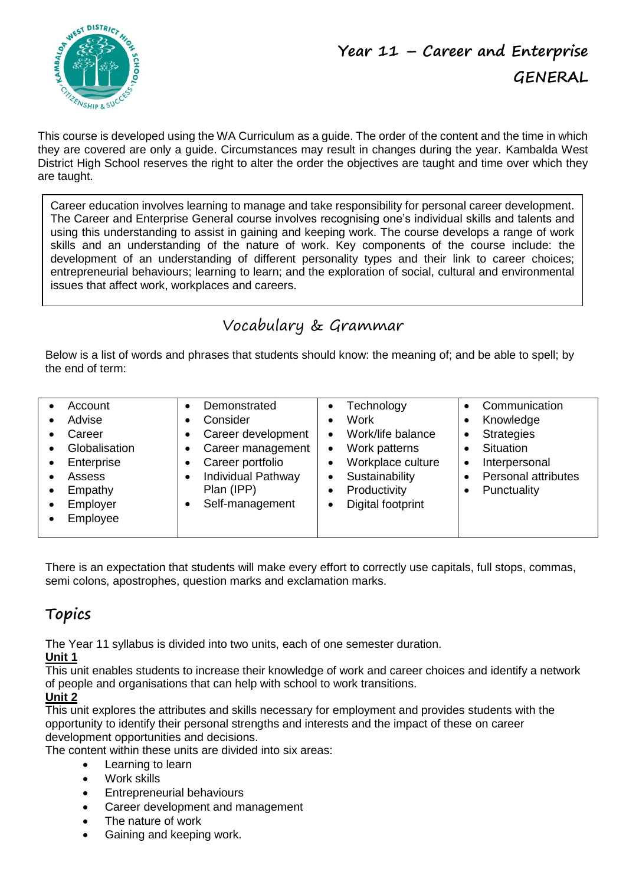

This course is developed using the WA Curriculum as a guide. The order of the content and the time in which they are covered are only a guide. Circumstances may result in changes during the year. Kambalda West District High School reserves the right to alter the order the objectives are taught and time over which they are taught.

Career education involves learning to manage and take responsibility for personal career development. The Career and Enterprise General course involves recognising one's individual skills and talents and using this understanding to assist in gaining and keeping work. The course develops a range of work skills and an understanding of the nature of work. Key components of the course include: the development of an understanding of different personality types and their link to career choices; entrepreneurial behaviours; learning to learn; and the exploration of social, cultural and environmental issues that affect work, workplaces and careers.

# Vocabulary & Grammar

Below is a list of words and phrases that students should know: the meaning of; and be able to spell; by the end of term:

| Demonstrated<br>Account<br>Advise<br>Consider<br>Career development<br>Career<br>Globalisation<br>Career management<br>٠<br>Career portfolio<br>Enterprise<br>$\bullet$<br>٠<br>Individual Pathway<br>Assess<br>Plan (IPP)<br>Empathy<br>Self-management<br>Employer<br>Employee | Technology<br><b>Work</b><br>Work/life balance<br>$\bullet$<br>Work patterns<br>$\bullet$<br>Workplace culture<br>Sustainability<br>Productivity<br>Digital footprint | Communication<br>Knowledge<br><b>Strategies</b><br><b>Situation</b><br>Interpersonal<br>٠<br><b>Personal attributes</b><br>Punctuality |
|----------------------------------------------------------------------------------------------------------------------------------------------------------------------------------------------------------------------------------------------------------------------------------|-----------------------------------------------------------------------------------------------------------------------------------------------------------------------|----------------------------------------------------------------------------------------------------------------------------------------|
|----------------------------------------------------------------------------------------------------------------------------------------------------------------------------------------------------------------------------------------------------------------------------------|-----------------------------------------------------------------------------------------------------------------------------------------------------------------------|----------------------------------------------------------------------------------------------------------------------------------------|

There is an expectation that students will make every effort to correctly use capitals, full stops, commas, semi colons, apostrophes, question marks and exclamation marks.

## **Topics**

The Year 11 syllabus is divided into two units, each of one semester duration.

**Unit 1**

This unit enables students to increase their knowledge of work and career choices and identify a network of people and organisations that can help with school to work transitions.

### **Unit 2**

This unit explores the attributes and skills necessary for employment and provides students with the opportunity to identify their personal strengths and interests and the impact of these on career development opportunities and decisions.

The content within these units are divided into six areas:

- Learning to learn
- Work skills
- Entrepreneurial behaviours
- Career development and management
- The nature of work
- Gaining and keeping work.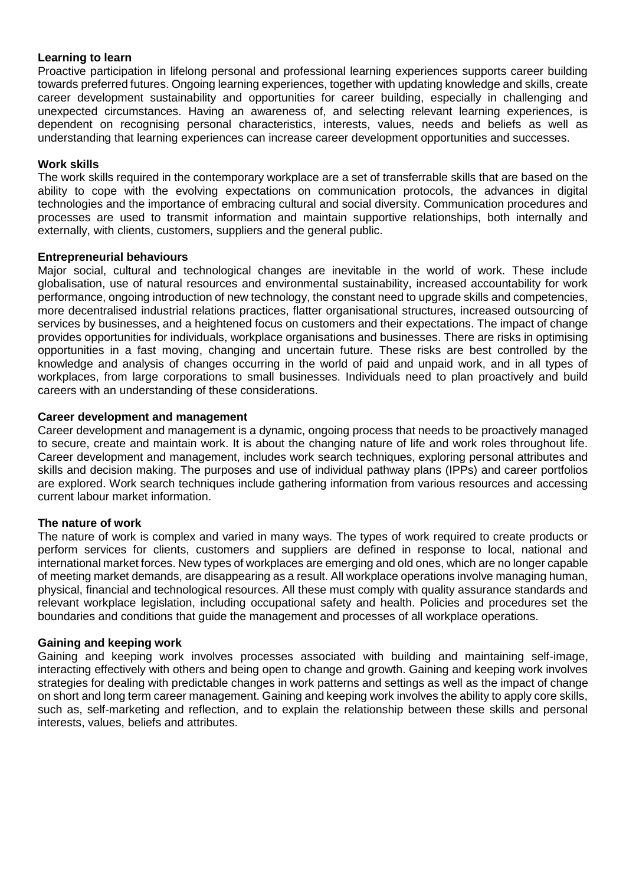#### **Learning to learn**

Proactive participation in lifelong personal and professional learning experiences supports career building towards preferred futures. Ongoing learning experiences, together with updating knowledge and skills, create career development sustainability and opportunities for career building, especially in challenging and unexpected circumstances. Having an awareness of, and selecting relevant learning experiences, is dependent on recognising personal characteristics, interests, values, needs and beliefs as well as understanding that learning experiences can increase career development opportunities and successes.

#### **Work skills**

The work skills required in the contemporary workplace are a set of transferrable skills that are based on the ability to cope with the evolving expectations on communication protocols, the advances in digital technologies and the importance of embracing cultural and social diversity. Communication procedures and processes are used to transmit information and maintain supportive relationships, both internally and externally, with clients, customers, suppliers and the general public.

#### **Entrepreneurial behaviours**

Major social, cultural and technological changes are inevitable in the world of work. These include globalisation, use of natural resources and environmental sustainability, increased accountability for work performance, ongoing introduction of new technology, the constant need to upgrade skills and competencies, more decentralised industrial relations practices, flatter organisational structures, increased outsourcing of services by businesses, and a heightened focus on customers and their expectations. The impact of change provides opportunities for individuals, workplace organisations and businesses. There are risks in optimising opportunities in a fast moving, changing and uncertain future. These risks are best controlled by the knowledge and analysis of changes occurring in the world of paid and unpaid work, and in all types of workplaces, from large corporations to small businesses. Individuals need to plan proactively and build careers with an understanding of these considerations.

#### **Career development and management**

Career development and management is a dynamic, ongoing process that needs to be proactively managed to secure, create and maintain work. It is about the changing nature of life and work roles throughout life. Career development and management, includes work search techniques, exploring personal attributes and skills and decision making. The purposes and use of individual pathway plans (IPPs) and career portfolios are explored. Work search techniques include gathering information from various resources and accessing current labour market information.

#### **The nature of work**

The nature of work is complex and varied in many ways. The types of work required to create products or perform services for clients, customers and suppliers are defined in response to local, national and international market forces. New types of workplaces are emerging and old ones, which are no longer capable of meeting market demands, are disappearing as a result. All workplace operations involve managing human, physical, financial and technological resources. All these must comply with quality assurance standards and relevant workplace legislation, including occupational safety and health. Policies and procedures set the boundaries and conditions that guide the management and processes of all workplace operations.

#### **Gaining and keeping work**

Gaining and keeping work involves processes associated with building and maintaining self-image, interacting effectively with others and being open to change and growth. Gaining and keeping work involves strategies for dealing with predictable changes in work patterns and settings as well as the impact of change on short and long term career management. Gaining and keeping work involves the ability to apply core skills, such as, self-marketing and reflection, and to explain the relationship between these skills and personal interests, values, beliefs and attributes.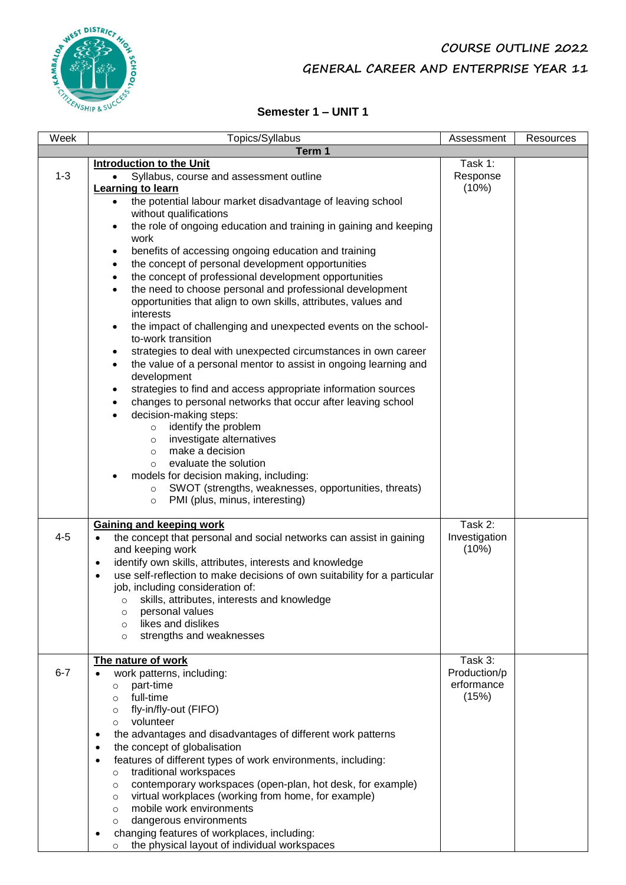## **COURSE OUTLINE 2022 GENERAL CAREER AND ENTERPRISE YEAR 11**



### **Semester 1 – UNIT 1**

| Week    | Topics/Syllabus                                                                                                                                                                                                                                                                                                                                                                                                                                                                                                                                                                                                                                                                                                                                                                                                                                                                                                                                                                                                                                                                                                                                                                                                                                                                                                                                                                                                                  | Assessment                                     | Resources |
|---------|----------------------------------------------------------------------------------------------------------------------------------------------------------------------------------------------------------------------------------------------------------------------------------------------------------------------------------------------------------------------------------------------------------------------------------------------------------------------------------------------------------------------------------------------------------------------------------------------------------------------------------------------------------------------------------------------------------------------------------------------------------------------------------------------------------------------------------------------------------------------------------------------------------------------------------------------------------------------------------------------------------------------------------------------------------------------------------------------------------------------------------------------------------------------------------------------------------------------------------------------------------------------------------------------------------------------------------------------------------------------------------------------------------------------------------|------------------------------------------------|-----------|
|         | Term 1                                                                                                                                                                                                                                                                                                                                                                                                                                                                                                                                                                                                                                                                                                                                                                                                                                                                                                                                                                                                                                                                                                                                                                                                                                                                                                                                                                                                                           |                                                |           |
| $1 - 3$ | <b>Introduction to the Unit</b><br>Syllabus, course and assessment outline<br>Learning to learn<br>the potential labour market disadvantage of leaving school<br>$\bullet$<br>without qualifications<br>the role of ongoing education and training in gaining and keeping<br>$\bullet$<br>work<br>benefits of accessing ongoing education and training<br>$\bullet$<br>the concept of personal development opportunities<br>$\bullet$<br>the concept of professional development opportunities<br>$\bullet$<br>the need to choose personal and professional development<br>$\bullet$<br>opportunities that align to own skills, attributes, values and<br>interests<br>the impact of challenging and unexpected events on the school-<br>$\bullet$<br>to-work transition<br>strategies to deal with unexpected circumstances in own career<br>$\bullet$<br>the value of a personal mentor to assist in ongoing learning and<br>$\bullet$<br>development<br>strategies to find and access appropriate information sources<br>$\bullet$<br>changes to personal networks that occur after leaving school<br>$\bullet$<br>decision-making steps:<br>$\bullet$<br>identify the problem<br>$\circ$<br>investigate alternatives<br>$\circ$<br>make a decision<br>$\circ$<br>evaluate the solution<br>$\Omega$<br>models for decision making, including:<br>$\bullet$<br>SWOT (strengths, weaknesses, opportunities, threats)<br>$\circ$ | Task 1:<br>Response<br>(10%)                   |           |
| $4 - 5$ | PMI (plus, minus, interesting)<br>$\circ$<br><b>Gaining and keeping work</b><br>the concept that personal and social networks can assist in gaining<br>and keeping work<br>identify own skills, attributes, interests and knowledge<br>$\bullet$<br>use self-reflection to make decisions of own suitability for a particular<br>job, including consideration of:<br>skills, attributes, interests and knowledge<br>personal values<br>$\circ$<br>likes and dislikes<br>$\circ$<br>strengths and weaknesses<br>$\circ$                                                                                                                                                                                                                                                                                                                                                                                                                                                                                                                                                                                                                                                                                                                                                                                                                                                                                                           | Task 2:<br>Investigation<br>(10%)              |           |
| $6 - 7$ | The nature of work<br>work patterns, including:<br>part-time<br>$\circ$<br>full-time<br>$\Omega$<br>fly-in/fly-out (FIFO)<br>$\circ$<br>volunteer<br>$\circ$<br>the advantages and disadvantages of different work patterns<br>٠<br>the concept of globalisation<br>$\bullet$<br>features of different types of work environments, including:<br>$\bullet$<br>traditional workspaces<br>$\circ$<br>contemporary workspaces (open-plan, hot desk, for example)<br>$\circ$<br>virtual workplaces (working from home, for example)<br>$\circ$<br>mobile work environments<br>$\circ$<br>dangerous environments<br>$\circ$<br>changing features of workplaces, including:<br>the physical layout of individual workspaces<br>$\circ$                                                                                                                                                                                                                                                                                                                                                                                                                                                                                                                                                                                                                                                                                                 | Task 3:<br>Production/p<br>erformance<br>(15%) |           |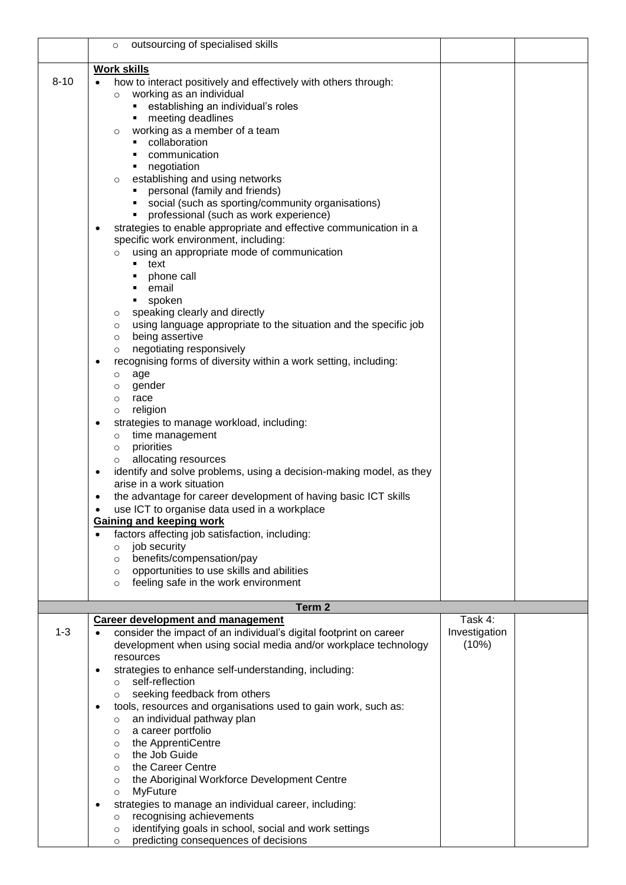|          | outsourcing of specialised skills<br>$\circ$                                                     |                        |  |
|----------|--------------------------------------------------------------------------------------------------|------------------------|--|
|          | <b>Work skills</b>                                                                               |                        |  |
| $8 - 10$ | how to interact positively and effectively with others through:<br>working as an individual      |                        |  |
|          | $\circ$<br>• establishing an individual's roles                                                  |                        |  |
|          | • meeting deadlines                                                                              |                        |  |
|          | working as a member of a team<br>$\circ$                                                         |                        |  |
|          | • collaboration<br>communication                                                                 |                        |  |
|          | • negotiation                                                                                    |                        |  |
|          | establishing and using networks<br>$\circ$                                                       |                        |  |
|          | • personal (family and friends)                                                                  |                        |  |
|          | social (such as sporting/community organisations)<br>٠<br>professional (such as work experience) |                        |  |
|          | ٠<br>strategies to enable appropriate and effective communication in a                           |                        |  |
|          | specific work environment, including:                                                            |                        |  |
|          | using an appropriate mode of communication<br>$\circ$                                            |                        |  |
|          | ■ text                                                                                           |                        |  |
|          | • phone call<br>• email                                                                          |                        |  |
|          | • spoken                                                                                         |                        |  |
|          | speaking clearly and directly<br>$\circ$                                                         |                        |  |
|          | using language appropriate to the situation and the specific job<br>$\circ$                      |                        |  |
|          | being assertive<br>$\circ$<br>negotiating responsively<br>$\circ$                                |                        |  |
|          | recognising forms of diversity within a work setting, including:                                 |                        |  |
|          | age<br>$\circ$                                                                                   |                        |  |
|          | gender<br>$\circ$                                                                                |                        |  |
|          | race<br>$\circ$<br>religion<br>$\circ$                                                           |                        |  |
|          | strategies to manage workload, including:<br>٠                                                   |                        |  |
|          | time management<br>$\circ$                                                                       |                        |  |
|          | priorities<br>$\circ$                                                                            |                        |  |
|          | allocating resources<br>identify and solve problems, using a decision-making model, as they<br>٠ |                        |  |
|          | arise in a work situation                                                                        |                        |  |
|          | the advantage for career development of having basic ICT skills                                  |                        |  |
|          | use ICT to organise data used in a workplace                                                     |                        |  |
|          | <b>Gaining and keeping work</b>                                                                  |                        |  |
|          | factors affecting job satisfaction, including:<br>job security<br>$\circ$                        |                        |  |
|          | benefits/compensation/pay<br>$\circ$                                                             |                        |  |
|          | opportunities to use skills and abilities<br>$\circ$                                             |                        |  |
|          | feeling safe in the work environment<br>$\circ$                                                  |                        |  |
|          | Term 2                                                                                           |                        |  |
|          | <b>Career development and management</b>                                                         | Task 4:                |  |
| $1 - 3$  | consider the impact of an individual's digital footprint on career                               | Investigation<br>(10%) |  |
|          | development when using social media and/or workplace technology<br>resources                     |                        |  |
|          | strategies to enhance self-understanding, including:<br>$\bullet$                                |                        |  |
|          | self-reflection<br>$\circ$                                                                       |                        |  |
|          | seeking feedback from others<br>$\circ$                                                          |                        |  |
|          | tools, resources and organisations used to gain work, such as:<br>an individual pathway plan     |                        |  |
|          | $\circ$<br>a career portfolio<br>$\circ$                                                         |                        |  |
|          | the ApprentiCentre<br>$\circ$                                                                    |                        |  |
|          | the Job Guide<br>$\circ$                                                                         |                        |  |
|          | the Career Centre<br>$\circ$                                                                     |                        |  |
|          | the Aboriginal Workforce Development Centre<br>$\circ$<br><b>MyFuture</b><br>$\circ$             |                        |  |
|          | strategies to manage an individual career, including:                                            |                        |  |
|          | recognising achievements<br>$\circ$                                                              |                        |  |
|          | identifying goals in school, social and work settings<br>$\circ$                                 |                        |  |
|          | predicting consequences of decisions<br>$\circ$                                                  |                        |  |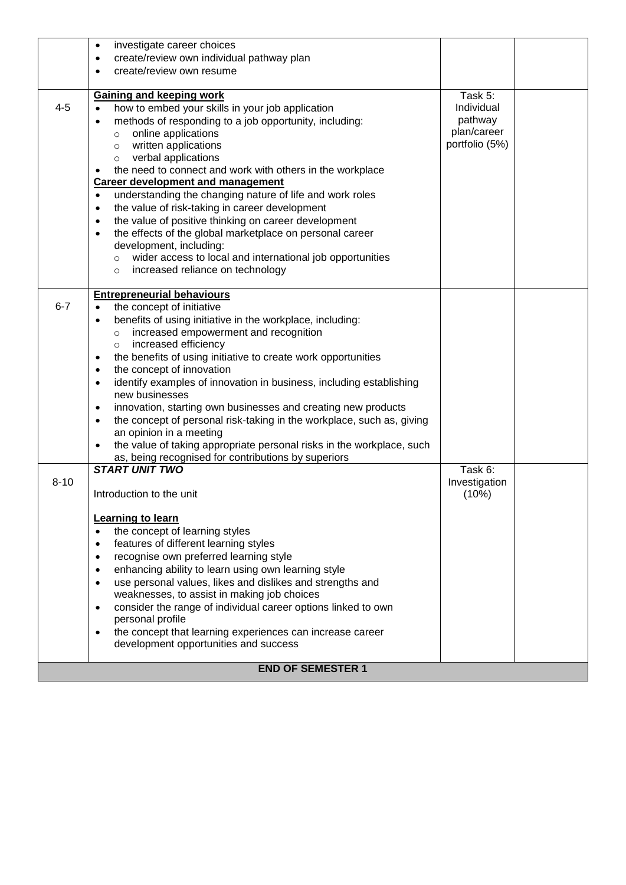|          | investigate career choices<br>$\bullet$                                                                       |                |  |
|----------|---------------------------------------------------------------------------------------------------------------|----------------|--|
|          | create/review own individual pathway plan<br>٠                                                                |                |  |
|          | create/review own resume                                                                                      |                |  |
|          |                                                                                                               |                |  |
|          | <b>Gaining and keeping work</b>                                                                               | Task 5:        |  |
| $4 - 5$  | how to embed your skills in your job application                                                              | Individual     |  |
|          | methods of responding to a job opportunity, including:<br>$\bullet$                                           | pathway        |  |
|          | online applications<br>$\circ$                                                                                | plan/career    |  |
|          | written applications<br>$\circ$                                                                               | portfolio (5%) |  |
|          | verbal applications<br>$\circ$                                                                                |                |  |
|          | the need to connect and work with others in the workplace<br>٠                                                |                |  |
|          | <b>Career development and management</b>                                                                      |                |  |
|          | understanding the changing nature of life and work roles<br>$\bullet$                                         |                |  |
|          | the value of risk-taking in career development<br>$\bullet$                                                   |                |  |
|          | the value of positive thinking on career development<br>$\bullet$                                             |                |  |
|          | the effects of the global marketplace on personal career<br>$\bullet$                                         |                |  |
|          | development, including:                                                                                       |                |  |
|          | wider access to local and international job opportunities<br>$\circ$                                          |                |  |
|          | increased reliance on technology<br>$\circ$                                                                   |                |  |
|          |                                                                                                               |                |  |
| $6 - 7$  | <b>Entrepreneurial behaviours</b>                                                                             |                |  |
|          | the concept of initiative<br>$\bullet$                                                                        |                |  |
|          | benefits of using initiative in the workplace, including:<br>$\bullet$                                        |                |  |
|          | increased empowerment and recognition<br>$\circ$                                                              |                |  |
|          | increased efficiency<br>$\circ$                                                                               |                |  |
|          | the benefits of using initiative to create work opportunities<br>$\bullet$                                    |                |  |
|          | the concept of innovation<br>$\bullet$                                                                        |                |  |
|          | identify examples of innovation in business, including establishing<br>$\bullet$<br>new businesses            |                |  |
|          |                                                                                                               |                |  |
|          | innovation, starting own businesses and creating new products<br>$\bullet$                                    |                |  |
|          | the concept of personal risk-taking in the workplace, such as, giving<br>$\bullet$<br>an opinion in a meeting |                |  |
|          | the value of taking appropriate personal risks in the workplace, such<br>$\bullet$                            |                |  |
|          | as, being recognised for contributions by superiors                                                           |                |  |
|          | <b>START UNIT TWO</b>                                                                                         | Task 6:        |  |
| $8 - 10$ |                                                                                                               | Investigation  |  |
|          | Introduction to the unit                                                                                      | (10%)          |  |
|          |                                                                                                               |                |  |
|          | Learning to learn                                                                                             |                |  |
|          | the concept of learning styles<br>$\bullet$                                                                   |                |  |
|          | features of different learning styles<br>$\bullet$                                                            |                |  |
|          | recognise own preferred learning style<br>$\bullet$                                                           |                |  |
|          | enhancing ability to learn using own learning style<br>$\bullet$                                              |                |  |
|          | use personal values, likes and dislikes and strengths and<br>$\bullet$                                        |                |  |
|          | weaknesses, to assist in making job choices                                                                   |                |  |
|          | consider the range of individual career options linked to own<br>$\bullet$                                    |                |  |
|          | personal profile                                                                                              |                |  |
|          | the concept that learning experiences can increase career<br>$\bullet$                                        |                |  |
|          | development opportunities and success                                                                         |                |  |
|          |                                                                                                               |                |  |
|          | <b>END OF SEMESTER 1</b>                                                                                      |                |  |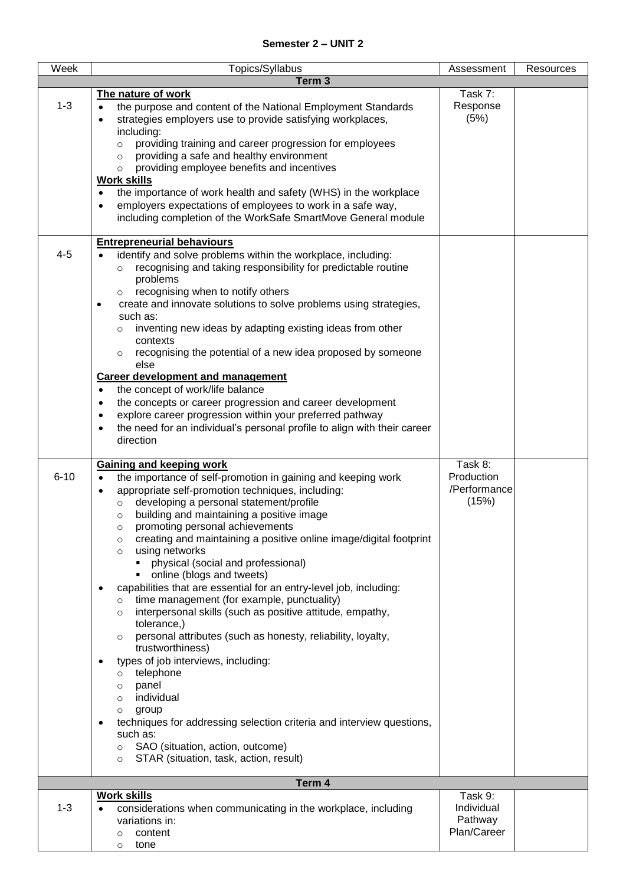| Week     | Topics/Syllabus                                                                                                               | Assessment   | Resources |
|----------|-------------------------------------------------------------------------------------------------------------------------------|--------------|-----------|
|          | Term <sub>3</sub>                                                                                                             |              |           |
|          | The nature of work                                                                                                            | Task 7:      |           |
| $1 - 3$  | the purpose and content of the National Employment Standards<br>$\bullet$                                                     | Response     |           |
|          | strategies employers use to provide satisfying workplaces,<br>$\bullet$                                                       | (5%)         |           |
|          | including:                                                                                                                    |              |           |
|          | providing training and career progression for employees<br>$\circ$                                                            |              |           |
|          | providing a safe and healthy environment<br>$\Omega$                                                                          |              |           |
|          | providing employee benefits and incentives<br>$\Omega$                                                                        |              |           |
|          | <b>Work skills</b>                                                                                                            |              |           |
|          | the importance of work health and safety (WHS) in the workplace                                                               |              |           |
|          | employers expectations of employees to work in a safe way,<br>٠                                                               |              |           |
|          | including completion of the WorkSafe SmartMove General module                                                                 |              |           |
|          |                                                                                                                               |              |           |
|          | <b>Entrepreneurial behaviours</b>                                                                                             |              |           |
| $4 - 5$  | identify and solve problems within the workplace, including:                                                                  |              |           |
|          | recognising and taking responsibility for predictable routine<br>$\Omega$                                                     |              |           |
|          | problems                                                                                                                      |              |           |
|          | recognising when to notify others                                                                                             |              |           |
|          | create and innovate solutions to solve problems using strategies,                                                             |              |           |
|          | such as:                                                                                                                      |              |           |
|          | inventing new ideas by adapting existing ideas from other<br>$\circ$                                                          |              |           |
|          | contexts                                                                                                                      |              |           |
|          | recognising the potential of a new idea proposed by someone<br>$\circ$<br>else                                                |              |           |
|          | <b>Career development and management</b>                                                                                      |              |           |
|          | the concept of work/life balance<br>$\bullet$                                                                                 |              |           |
|          | the concepts or career progression and career development<br>٠                                                                |              |           |
|          | explore career progression within your preferred pathway<br>$\bullet$                                                         |              |           |
|          | the need for an individual's personal profile to align with their career<br>٠                                                 |              |           |
|          | direction                                                                                                                     |              |           |
|          |                                                                                                                               |              |           |
|          | <b>Gaining and keeping work</b>                                                                                               | Task 8:      |           |
| $6 - 10$ | the importance of self-promotion in gaining and keeping work<br>$\bullet$                                                     | Production   |           |
|          | appropriate self-promotion techniques, including:<br>٠                                                                        | /Performance |           |
|          | developing a personal statement/profile<br>$\circ$                                                                            | (15%)        |           |
|          | building and maintaining a positive image<br>$\circ$                                                                          |              |           |
|          | promoting personal achievements<br>$\circ$                                                                                    |              |           |
|          | creating and maintaining a positive online image/digital footprint<br>$\circ$                                                 |              |           |
|          | using networks<br>$\circ$                                                                                                     |              |           |
|          | physical (social and professional)                                                                                            |              |           |
|          | online (blogs and tweets)<br>٠                                                                                                |              |           |
|          | capabilities that are essential for an entry-level job, including:<br>$\bullet$<br>time management (for example, punctuality) |              |           |
|          | O<br>interpersonal skills (such as positive attitude, empathy,                                                                |              |           |
|          | $\circ$<br>tolerance,)                                                                                                        |              |           |
|          | personal attributes (such as honesty, reliability, loyalty,<br>$\circ$                                                        |              |           |
|          | trustworthiness)                                                                                                              |              |           |
|          | types of job interviews, including:<br>$\bullet$                                                                              |              |           |
|          | telephone<br>$\circ$                                                                                                          |              |           |
|          | panel<br>$\circ$                                                                                                              |              |           |
|          | individual<br>$\circ$                                                                                                         |              |           |
|          | group<br>$\circ$                                                                                                              |              |           |
|          | techniques for addressing selection criteria and interview questions,<br>٠                                                    |              |           |
|          | such as:                                                                                                                      |              |           |
|          | SAO (situation, action, outcome)<br>$\circ$                                                                                   |              |           |
|          | STAR (situation, task, action, result)<br>$\circ$                                                                             |              |           |
|          | Term 4                                                                                                                        |              |           |
|          | <b>Work skills</b>                                                                                                            | Task 9:      |           |
| $1 - 3$  | considerations when communicating in the workplace, including                                                                 | Individual   |           |
|          | variations in:                                                                                                                | Pathway      |           |
|          | content<br>$\circ$                                                                                                            | Plan/Career  |           |
|          | tone<br>$\circ$                                                                                                               |              |           |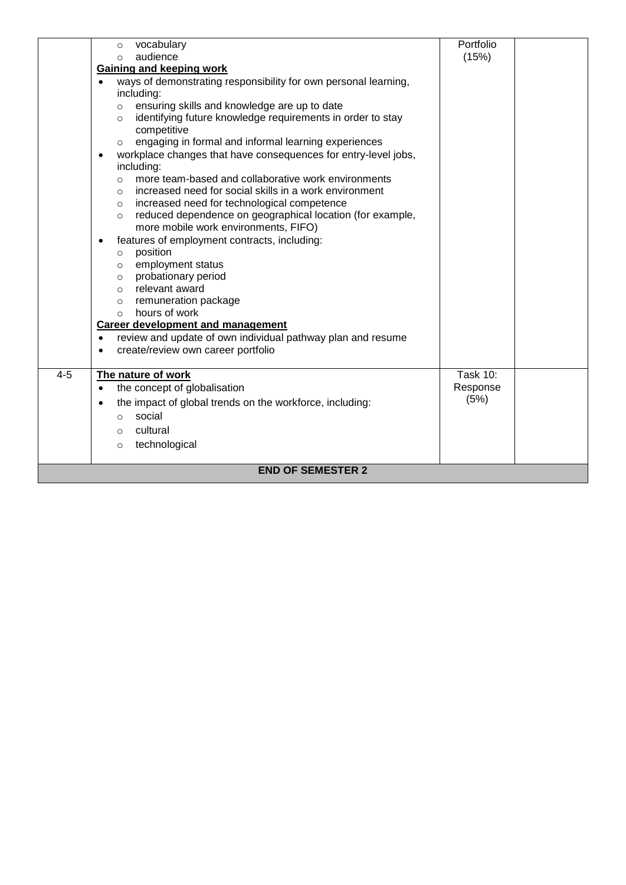|         | vocabulary<br>$\circ$                                                       | Portfolio       |  |
|---------|-----------------------------------------------------------------------------|-----------------|--|
|         | audience<br>$\Omega$                                                        | (15%)           |  |
|         | Gaining and keeping work                                                    |                 |  |
|         | ways of demonstrating responsibility for own personal learning,             |                 |  |
|         | including:                                                                  |                 |  |
|         | ensuring skills and knowledge are up to date<br>$\circ$                     |                 |  |
|         | identifying future knowledge requirements in order to stay<br>$\circ$       |                 |  |
|         | competitive                                                                 |                 |  |
|         | engaging in formal and informal learning experiences<br>$\circ$             |                 |  |
|         | workplace changes that have consequences for entry-level jobs,<br>$\bullet$ |                 |  |
|         | including:                                                                  |                 |  |
|         | more team-based and collaborative work environments<br>$\circ$              |                 |  |
|         | increased need for social skills in a work environment<br>$\Omega$          |                 |  |
|         | increased need for technological competence<br>$\circ$                      |                 |  |
|         | reduced dependence on geographical location (for example,<br>$\circ$        |                 |  |
|         | more mobile work environments, FIFO)                                        |                 |  |
|         | features of employment contracts, including:<br>$\bullet$                   |                 |  |
|         | position<br>$\circ$                                                         |                 |  |
|         | employment status<br>$\circ$<br>probationary period                         |                 |  |
|         | $\circ$<br>relevant award<br>$\circ$                                        |                 |  |
|         | remuneration package<br>$\circ$                                             |                 |  |
|         | hours of work<br>$\bigcap$                                                  |                 |  |
|         | <b>Career development and management</b>                                    |                 |  |
|         | review and update of own individual pathway plan and resume<br>$\bullet$    |                 |  |
|         | create/review own career portfolio<br>$\bullet$                             |                 |  |
|         |                                                                             |                 |  |
| $4 - 5$ | The nature of work                                                          | <b>Task 10:</b> |  |
|         | the concept of globalisation<br>$\bullet$                                   | Response        |  |
|         | the impact of global trends on the workforce, including:<br>$\bullet$       | (5%)            |  |
|         | social                                                                      |                 |  |
|         | $\circ$                                                                     |                 |  |
|         | cultural<br>$\Omega$                                                        |                 |  |
|         | technological<br>$\circ$                                                    |                 |  |
|         |                                                                             |                 |  |
|         | <b>END OF SEMESTER 2</b>                                                    |                 |  |
|         |                                                                             |                 |  |